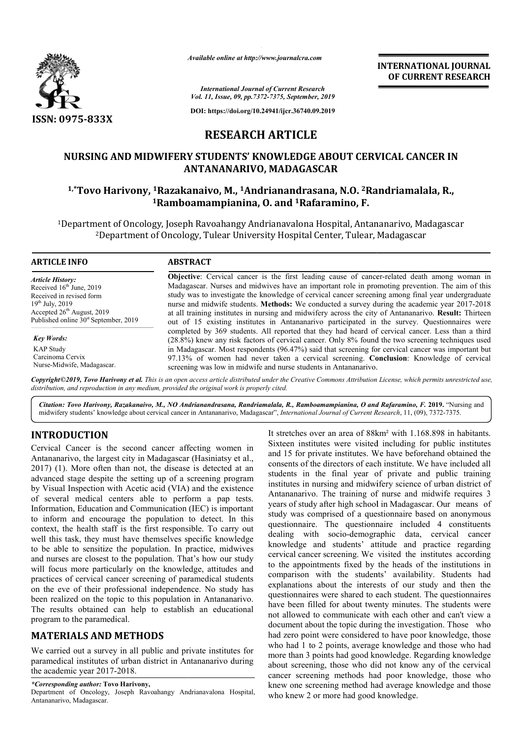

*Available online at http://www.journalcra.com*

**INTERNATIONAL JOURNAL OF CURRENT RESEARCH**

*International Journal of Current Research Vol. 11, Issue, 09, pp.7372-7375, September, 2019*

**DOI: https://doi.org/10.24941/ijcr.36740.09.2019**

# **RESEARCH ARTICLE**

# **NURSING AND MIDWIFERY STUDENTS' KNOWLEDGE ABOUT CERVICAL CANCER IN ANTANANARIVO, MADAGASCAR 1,\*Tovo Harivony, 1Razakanaivo, M., Razakanaivo, 1Andrianandrasana, N.O. 2Randriamalala, R., STUDENTS' Randriamalala, R.,**

# **1Ramboamampianina, O Ramboamampianina, O. and 1Rafaramino, F.**

<sup>1</sup>Department of Oncology, Joseph Ravoahangy Andrianavalona Hospital, Antananarivo, Madagascar ıent of Oncology, Joseph Ravoahangy Andrianavalona Hospital, Antananarivo, Ma<br>2Department of Oncology, Tulear University Hospital Center, Tulear, Madagascar

| <b>Objective:</b> Cervical cancer is the first leading cause of cancer-related death among woman in<br>Madagascar. Nurses and midwives have an important role in promoting prevention. The aim of this<br>study was to investigate the knowledge of cervical cancer screening among final year undergraduate<br>nurse and midwife students. Methods: We conducted a survey during the academic year 2017-2018<br>at all training institutes in nursing and midwifery across the city of Antananarivo. Result: Thirteen<br>out of 15 existing institutes in Antananarivo participated in the survey. Questionnaires were |
|-------------------------------------------------------------------------------------------------------------------------------------------------------------------------------------------------------------------------------------------------------------------------------------------------------------------------------------------------------------------------------------------------------------------------------------------------------------------------------------------------------------------------------------------------------------------------------------------------------------------------|
| completed by 369 students. All reported that they had heard of cervical cancer. Less than a third<br>(28.8%) knew any risk factors of cervical cancer. Only 8% found the two screening techniques used                                                                                                                                                                                                                                                                                                                                                                                                                  |
| in Madagascar. Most respondents (96.47%) said that screening for cervical cancer was important but<br>97.13% of women had never taken a cervical screening. Conclusion: Knowledge of cervical<br>screening was low in midwife and nurse students in Antananarivo.                                                                                                                                                                                                                                                                                                                                                       |
|                                                                                                                                                                                                                                                                                                                                                                                                                                                                                                                                                                                                                         |

Copyright©2019, Tovo Harivony et al. This is an open access article distributed under the Creative Commons Attribution License, which permits unrestricted use, *distribution, and reproduction in any medium, provided the original work is properly cited.*

Citation: Tovo Harivony, Razakanaivo, M., NO Andrianandrasana, Randriamalala, R., Ramboamampianina, O and Rafaramino, F. 2019. "Nursing and midwifery students' knowledge about cervical cancer in Antananarivo, Madagascar", *International Journal of Current Research Research*, 11, (09), 7372-7375.

# **INTRODUCTION**

Cervical Cancer is the second cancer affecting women in Antananarivo, the largest city in Madagascar (Hasiniatsy et al., 2017) (1). More often than not, the disease is detected at an advanced stage despite the setting up of a screening program by Visual Inspection with Acetic acid (VIA) and the existence of several medical centers able to perfo perform a pap tests. Information, Education and Communication (IEC) is important to inform and encourage the population to detect. In this context, the health staff is the first responsible. To carry out well this task, they must have themselves specific knowledge to be able to sensitize the population. In practice, midwives and nurses are closest to the population. That's how our study will focus more particularly on the knowledge, attitudes and practices of cervical cancer screening of paramedical students on the eve of their professional independence. No study has been realized on the topic to this population in Antananarivo. The results obtained can help to establish an educational program to the paramedical.

## **MATERIALS AND METHODS**

We carried out a survey in all public and private institutes for paramedical institutes of urban district in Antananarivo during the academic year 2017-2018.

*\*Corresponding author:* **Tovo Harivony,**

Department of Oncology, Joseph Ravoahangy Andrianavalona Hospital, Antananarivo, Madagascar.

It stretches over an area of 88km<sup>2</sup> with 1.168.898 in habitants.<br>
Ecity in Madagascar (Hasiniatsy et al., and 15 for private institutes were visited including for public institutes<br>
and 15 for private institutes. We have Sixteen institutes were visited including for public institutes It stretches over an area of 88km<sup>2</sup> with 1.168.898 in habitants.<br>Sixteen institutes were visited including for public institutes and 15 for private institutes. We have beforehand obtained the consents of the directors of each institute. We have included all students in the final year of private and public training institutes in nursing and midwifery science of urban district of Antananarivo. The training of nurse and midwife requires 3 years of study after high school in Madagascar. study was comprised of a questionnaire based on anonymous questionnaire. The questionnaire included 4 constituents dealing with socio-demographic data, cervical cancer knowledge and students' attitude and practice regarding cervical cancer screening. We visited the institutes according to the appointments fixed by the heads of the institutions in comparison with the students' availability. Students had explanations about the interests of our study and then the questionnaires were shared to each student. have been filled for about twenty minutes. The students were have been filled for about twenty minutes. The students were not allowed to communicate with each other and can't view a document about the topic during the investigation. Those who had zero point were considered to have poor knowledge, those who had 1 to 2 points, average knowledge and those who had more than 3 points had good knowledge. Regarding knowledge about screening, those who did not know any of the cervical cancer screening methods had poor knowledge, those who knew one screening method had average knowledge and those who knew 2 or more had good knowledge. institutes in nursing and midwifery science of urban district of Antananarivo. The training of nurse and midwife requires 3 years of study after high school in Madagascar. Our means of prised of a questionnaire based on anonymous<br>The questionnaire included 4 constituents<br>socio-demographic data, cervical cancer<br>d students' attitute and practice regarding<br>screening. We visited the institutions in<br>titutions **EXEREMATIONAL JOURNAL FORMAL FORMAL FORMAL FORMAL FORMAL CONVERT RESEARCH CHARGER IN THE SUPER CONVERT (SUPER CONTINUES) (SUPER CONTINUES) AND AND AGASCAR EXERPTICLE CONVERTOR CONTINUES (SUPER CONTINUES) (SUPER CONTINUES**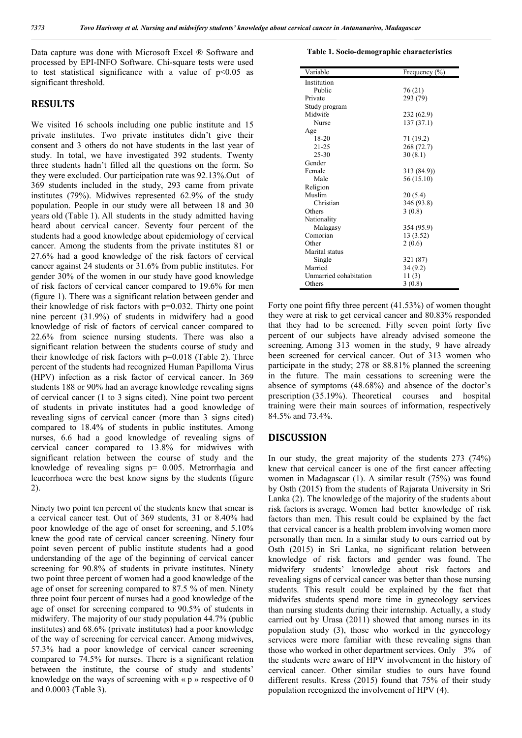Data capture was done with Microsoft Excel ® Software and processed by EPI-INFO Software. Chi-square tests were used to test statistical significance with a value of  $p<0.05$  as significant threshold.

### **RESULTS**

We visited 16 schools including one public institute and 15 private institutes. Two private institutes didn't give their consent and 3 others do not have students in the last year of study. In total, we have investigated 392 students. Twenty three students hadn't filled all the questions on the form. So they were excluded. Our participation rate was 92.13%.Out of 369 students included in the study, 293 came from private institutes (79%). Midwives represented 62.9% of the study population. People in our study were all between 18 and 30 years old (Table 1). All students in the study admitted having heard about cervical cancer. Seventy four percent of the students had a good knowledge about epidemiology of cervical cancer. Among the students from the private institutes 81 or 27.6% had a good knowledge of the risk factors of cervical cancer against 24 students or 31.6% from public institutes. For gender 30% of the women in our study have good knowledge of risk factors of cervical cancer compared to 19.6% for men (figure 1). There was a significant relation between gender and their knowledge of risk factors with p=0.032. Thirty one point nine percent (31.9%) of students in midwifery had a good knowledge of risk of factors of cervical cancer compared to 22.6% from science nursing students. There was also a significant relation between the students course of study and their knowledge of risk factors with p=0.018 (Table 2). Three percent of the students had recognized Human Papilloma Virus (HPV) infection as a risk factor of cervical cancer. In 369 students 188 or 90% had an average knowledge revealing signs of cervical cancer (1 to 3 signs cited). Nine point two percent of students in private institutes had a good knowledge of revealing signs of cervical cancer (more than 3 signs cited) compared to 18.4% of students in public institutes. Among nurses, 6.6 had a good knowledge of revealing signs of cervical cancer compared to 13.8% for midwives with significant relation between the course of study and the knowledge of revealing signs p= 0.005. Metrorrhagia and leucorrhoea were the best know signs by the students (figure 2).

Ninety two point ten percent of the students knew that smear is a cervical cancer test. Out of 369 students, 31 or 8.40% had poor knowledge of the age of onset for screening, and 5.10% knew the good rate of cervical cancer screening. Ninety four point seven percent of public institute students had a good understanding of the age of the beginning of cervical cancer screening for 90.8% of students in private institutes. Ninety two point three percent of women had a good knowledge of the age of onset for screening compared to 87.5 % of men. Ninety three point four percent of nurses had a good knowledge of the age of onset for screening compared to 90.5% of students in midwifery. The majority of our study population 44.7% (public institutes) and 68.6% (private institutes) had a poor knowledge of the way of screening for cervical cancer. Among midwives, 57.3% had a poor knowledge of cervical cancer screening compared to 74.5% for nurses. There is a significant relation between the institute, the course of study and students' knowledge on the ways of screening with « p » respective of 0 and 0.0003 (Table 3).

#### **Table 1. Socio-demographic characteristics**

| Variable               | Frequency (%) |
|------------------------|---------------|
| Institution            |               |
| Public                 | 76 (21)       |
| Private                | 293 (79)      |
| Study program          |               |
| Midwife                | 232(62.9)     |
| Nurse                  | 137(37.1)     |
| Age                    |               |
| $18 - 20$              | 71 (19.2)     |
| $21 - 25$              | 268 (72.7)    |
| $25 - 30$              | 30(8.1)       |
| Gender                 |               |
| Female                 | 313(84.9)     |
| Male                   | 56 (15.10)    |
| Religion               |               |
| Muslim                 | 20(5.4)       |
| Christian              | 346 (93.8)    |
| Others                 | 3(0.8)        |
| Nationality            |               |
| Malagasy               | 354 (95.9)    |
| Comorian               | 13 (3.52)     |
| Other                  | 2(0.6)        |
| Marital status         |               |
| Single                 | 321 (87)      |
| Married                | 34 (9.2)      |
| Unmarried cohabitation | 11(3)         |
| Others                 | 3(0.8)        |

Forty one point fifty three percent (41.53%) of women thought they were at risk to get cervical cancer and 80.83% responded that they had to be screened. Fifty seven point forty five percent of our subjects have already advised someone the screening. Among 313 women in the study, 9 have already been screened for cervical cancer. Out of 313 women who participate in the study; 278 or 88.81% planned the screening in the future. The main cessations to screening were the absence of symptoms (48.68%) and absence of the doctor's prescription (35.19%). Theoretical courses and hospital training were their main sources of information, respectively 84.5% and 73.4%.

#### **DISCUSSION**

In our study, the great majority of the students 273 (74%) knew that cervical cancer is one of the first cancer affecting women in Madagascar (1). A similar result (75%) was found by Osth (2015) from the students of Rajarata University in Sri Lanka (2). The knowledge of the majority of the students about risk factors is average. Women had better knowledge of risk factors than men. This result could be explained by the fact that cervical cancer is a health problem involving women more personally than men. In a similar study to ours carried out by Osth (2015) in Sri Lanka, no significant relation between knowledge of risk factors and gender was found. The midwifery students' knowledge about risk factors and revealing signs of cervical cancer was better than those nursing students. This result could be explained by the fact that midwifes students spend more time in gynecology services than nursing students during their internship. Actually, a study carried out by Urasa (2011) showed that among nurses in its population study (3), those who worked in the gynecology services were more familiar with these revealing signs than those who worked in other department services. Only 3% of the students were aware of HPV involvement in the history of cervical cancer. Other similar studies to ours have found different results. Kress (2015) found that 75% of their study population recognized the involvement of HPV (4).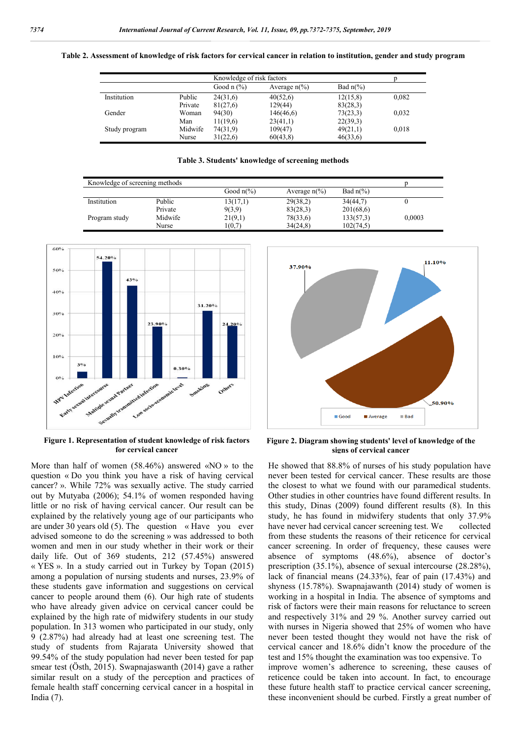| Table 2. Assessment of knowledge of risk factors for cervical cancer in relation to institution, gender and study program |  |
|---------------------------------------------------------------------------------------------------------------------------|--|
|                                                                                                                           |  |
|                                                                                                                           |  |
|                                                                                                                           |  |

|               |         | Knowledge of risk factors |                        |                    |       |
|---------------|---------|---------------------------|------------------------|--------------------|-------|
|               |         | Good $n$ $(\%)$           | Average $n\frac{6}{6}$ | Bad $n\frac{6}{6}$ |       |
| Institution   | Public  | 24(31,6)                  | 40(52,6)               | 12(15,8)           | 0,082 |
|               | Private | 81(27,6)                  | 129(44)                | 83(28,3)           |       |
| Gender        | Woman   | 94(30)                    | 146(46,6)              | 73(23,3)           | 0,032 |
|               | Man     | 11(19,6)                  | 23(41,1)               | 22(39,3)           |       |
| Study program | Midwife | 74(31,9)                  | 109(47)                | 49(21,1)           | 0,018 |
|               | Nurse   | 31(22,6)                  | 60(43,8)               | 46(33,6)           |       |

**Table 3. Students' knowledge of screening methods**

| Knowledge of screening methods |         |                     |                        |                    |        |
|--------------------------------|---------|---------------------|------------------------|--------------------|--------|
|                                |         | Good $n\frac{6}{6}$ | Average $n\frac{6}{6}$ | Bad $n\frac{6}{6}$ |        |
| Institution                    | Public  | 13(17,1)            | 29(38,2)               | 34(44.7)           |        |
|                                | Private | 9(3,9)              | 83(28,3)               | 201(68,6)          |        |
| Program study                  | Midwife | 21(9,1)             | 78(33,6)               | 133(57,3)          | 0,0003 |
|                                | Nurse   | 1(0,7)              | 34(24.8)               | 102(74.5)          |        |



**Figure 1. Representation of student knowledge of risk factors for cervical cancer**

More than half of women (58.46%) answered «NO » to the question « Do you think you have a risk of having cervical cancer? ». While 72% was sexually active. The study carried out by Mutyaba (2006); 54.1% of women responded having little or no risk of having cervical cancer. Our result can be explained by the relatively young age of our participants who are under 30 years old (5). The question « Have you ever advised someone to do the screening » was addressed to both women and men in our study whether in their work or their daily life. Out of 369 students, 212 (57.45%) answered « YES ». In a study carried out in Turkey by Topan (2015) among a population of nursing students and nurses, 23.9% of these students gave information and suggestions on cervical cancer to people around them (6). Our high rate of students who have already given advice on cervical cancer could be explained by the high rate of midwifery students in our study population. In 313 women who participated in our study, only 9 (2.87%) had already had at least one screening test. The study of students from Rajarata University showed that 99.54% of the study population had never been tested for pap smear test (Östh, 2015). Swapnajaswanth (2014) gave a rather similar result on a study of the perception and practices of female health staff concerning cervical cancer in a hospital in India (7).



**Figure 2. Diagram showing students' level of knowledge of the signs of cervical cancer**

He showed that 88.8% of nurses of his study population have never been tested for cervical cancer. These results are those the closest to what we found with our paramedical students. Other studies in other countries have found different results. In this study, Dinas (2009) found different results (8). In this study, he has found in midwifery students that only 37.9% have never had cervical cancer screening test. We collected from these students the reasons of their reticence for cervical cancer screening. In order of frequency, these causes were absence of symptoms (48.6%), absence of doctor's prescription (35.1%), absence of sexual intercourse (28.28%), lack of financial means (24.33%), fear of pain (17.43%) and shyness (15.78%). Swapnajawanth (2014) study of women is working in a hospital in India. The absence of symptoms and risk of factors were their main reasons for reluctance to screen and respectively 31% and 29 %. Another survey carried out with nurses in Nigeria showed that 25% of women who have never been tested thought they would not have the risk of cervical cancer and 18.6% didn't know the procedure of the test and 15% thought the examination was too expensive. To improve women's adherence to screening, these causes of reticence could be taken into account. In fact, to encourage these future health staff to practice cervical cancer screening, these inconvenient should be curbed. Firstly a great number of